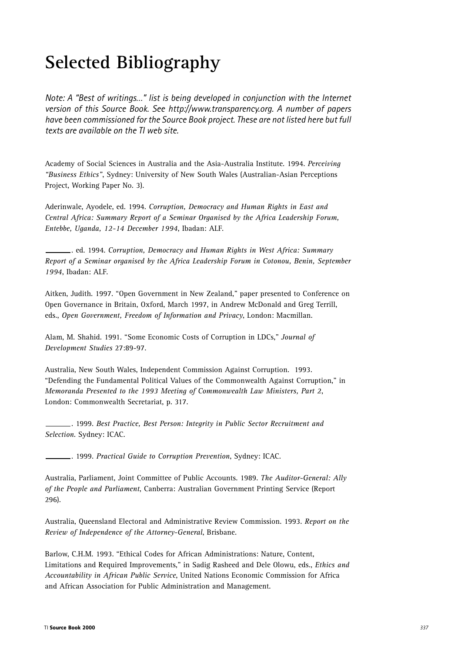# **Selected Bibliography**

*Note: A "Best of writings…" list is being developed in conjunction with the Internet version of this Source Book. See http://www.transparency.org. A number of papers have been commissioned for the Source Book project. These are not listed here but full texts are available on the TI web site.*

Academy of Social Sciences in Australia and the Asia-Australia Institute. 1994. *Perceiving "Business Ethics"*, Sydney: University of New South Wales (Australian-Asian Perceptions Project, Working Paper No. 3).

Aderinwale, Ayodele, ed. 1994. *Corruption, Democracy and Human Rights in East and Central Africa: Summary Report of a Seminar Organised by the Africa Leadership Forum, Entebbe, Uganda, 12-14 December 1994*, Ibadan: ALF.

. ed. 1994. *Corruption, Democracy and Human Rights in West Africa: Summary Report of a Seminar organised by the Africa Leadership Forum in Cotonou, Benin, September 1994*, Ibadan: ALF.

Aitken, Judith. 1997. "Open Government in New Zealand," paper presented to Conference on Open Governance in Britain, Oxford, March 1997, in Andrew McDonald and Greg Terrill, eds., *Open Government, Freedom of Information and Privacy*, London: Macmillan.

Alam, M. Shahid. 1991. "Some Economic Costs of Corruption in LDCs," *Journal of Development Studies* 27:89-97.

Australia, New South Wales, Independent Commission Against Corruption. 1993. "Defending the Fundamental Political Values of the Commonwealth Against Corruption," in *Memoranda Presented to the 1993 Meeting of Commonwealth Law Ministers, Part 2*, London: Commonwealth Secretariat, p. 317.

. 1999. *Best Practice, Best Person: Integrity in Public Sector Recruitment and Selection*. Sydney: ICAC.

. 1999. *Practical Guide to Corruption Prevention*, Sydney: ICAC.

Australia, Parliament, Joint Committee of Public Accounts. 1989. *The Auditor-General: Ally of the People and Parliament*, Canberra: Australian Government Printing Service (Report 296).

Australia, Queensland Electoral and Administrative Review Commission. 1993. *Report on the Review of Independence of the Attorney-General*, Brisbane.

Barlow, C.H.M. 1993. "Ethical Codes for African Administrations: Nature, Content, Limitations and Required Improvements," in Sadig Rasheed and Dele Olowu, eds., *Ethics and Accountability in African Public Service*, United Nations Economic Commission for Africa and African Association for Public Administration and Management.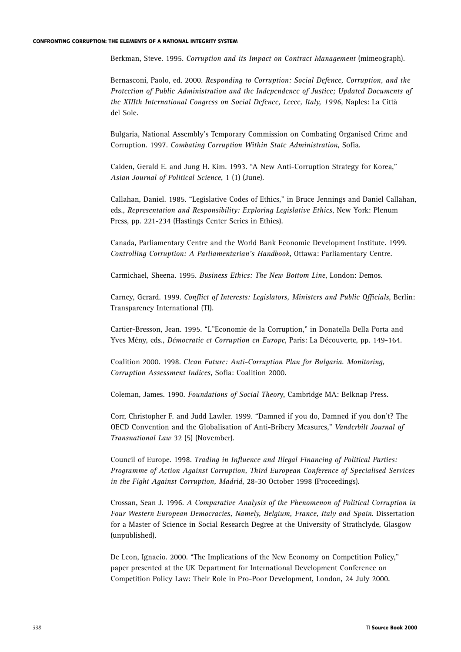Berkman, Steve. 1995. *Corruption and its Impact on Contract Management* (mimeograph).

Bernasconi, Paolo, ed. 2000. *Responding to Corruption: Social Defence, Corruption, and the Protection of Public Administration and the Independence of Justice; Updated Documents of the XIIIth International Congress on Social Defence, Lecce, Italy, 1996*, Naples: La Città del Sole.

Bulgaria, National Assembly's Temporary Commission on Combating Organised Crime and Corruption. 1997. *Combating Corruption Within State Administration*, Sofia.

Caiden, Gerald E. and Jung H. Kim. 1993. "A New Anti-Corruption Strategy for Korea," *Asian Journal of Political Science*, 1 (1) (June).

Callahan, Daniel. 1985. "Legislative Codes of Ethics," in Bruce Jennings and Daniel Callahan, eds., *Representation and Responsibility: Exploring Legislative Ethics*, New York: Plenum Press, pp. 221-234 (Hastings Center Series in Ethics).

Canada, Parliamentary Centre and the World Bank Economic Development Institute. 1999. *Controlling Corruption: A Parliamentarian's Handbook*, Ottawa: Parliamentary Centre.

Carmichael, Sheena. 1995. *Business Ethics: The New Bottom Line*, London: Demos.

Carney, Gerard. 1999. *Conflict of Interests: Legislators, Ministers and Public Officials*, Berlin: Transparency International (TI).

Cartier-Bresson, Jean. 1995. "L"Economie de la Corruption," in Donatella Della Porta and Yves Mény, eds., *Démocratie et Corruption en Europe*, Paris: La Découverte, pp. 149-164.

Coalition 2000. 1998. *Clean Future: Anti-Corruption Plan for Bulgaria. Monitoring, Corruption Assessment Indices*, Sofia: Coalition 2000.

Coleman, James. 1990. *Foundations of Social Theor*y, Cambridge MA: Belknap Press.

Corr, Christopher F. and Judd Lawler. 1999. "Damned if you do, Damned if you don't? The OECD Convention and the Globalisation of Anti-Bribery Measures," *Vanderbilt Journal of Transnational Law* 32 (5) (November).

Council of Europe. 1998. *Trading in Influence and Illegal Financing of Political Parties: Programme of Action Against Corruption, Third European Conference of Specialised Services in the Fight Against Corruption, Madrid*, 28-30 October 1998 (Proceedings).

Crossan, Sean J. 1996. *A Comparative Analysis of the Phenomenon of Political Corruption in Four Western European Democracies, Namely, Belgium, France, Italy and Spain*. Dissertation for a Master of Science in Social Research Degree at the University of Strathclyde, Glasgow (unpublished).

De Leon, Ignacio. 2000. "The Implications of the New Economy on Competition Policy," paper presented at the UK Department for International Development Conference on Competition Policy Law: Their Role in Pro-Poor Development, London, 24 July 2000.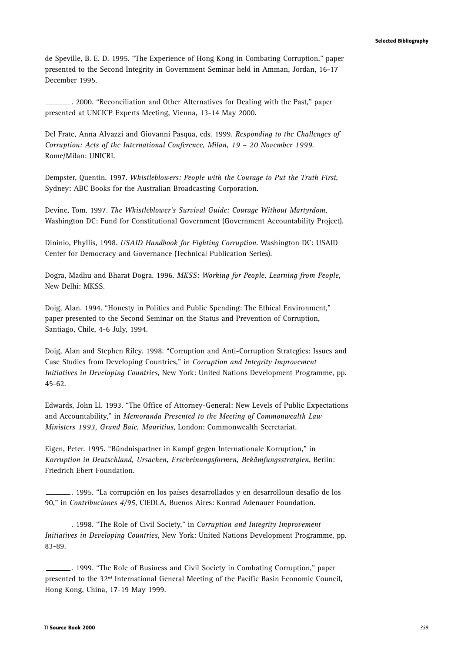de Speville, B. E. D. 1995. "The Experience of Hong Kong in Combating Corruption," paper presented to the Second Integrity in Government Seminar held in Amman, Jordan, 16-17 December 1995.

. 2000. "Reconciliation and Other Alternatives for Dealing with the Past," paper presented at UNCICP Experts Meeting, Vienna, 13-14 May 2000.

Del Frate, Anna Alvazzi and Giovanni Pasqua, eds. 1999. *Responding to the Challenges of Corruption: Acts of the International Conference, Milan, 19 – 20 November 1999*. Rome/Milan: UNICRI.

Dempster, Quentin. 1997. *Whistleblowers: People with the Courage to Put the Truth First*, Sydney: ABC Books for the Australian Broadcasting Corporation.

Devine, Tom. 1997. *The Whistleblower's Survival Guide: Courage Without Martyrdom*, Washington DC: Fund for Constitutional Government (Government Accountability Project).

Dininio, Phyllis, 1998. *USAID Handbook for Fighting Corruption*. Washington DC: USAID Center for Democracy and Governance (Technical Publication Series).

Dogra, Madhu and Bharat Dogra. 1996. *MKSS: Working for People, Learning from People*, New Delhi: MKSS.

Doig, Alan. 1994. "Honesty in Politics and Public Spending: The Ethical Environment," paper presented to the Second Seminar on the Status and Prevention of Corruption, Santiago, Chile, 4-6 July, 1994.

Doig, Alan and Stephen Riley. 1998. "Corruption and Anti-Corruption Strategies: Issues and Case Studies from Developing Countries," in *Corruption and Integrity Improvement Initiatives in Developing Countries*, New York: United Nations Development Programme, pp. 45-62.

Edwards, John Ll. 1993. "The Office of Attorney-General: New Levels of Public Expectations and Accountability," in *Memoranda Presented to the Meeting of Commonwealth Law Ministers 1993, Grand Baie, Mauritius*, London: Commonwealth Secretariat.

Eigen, Peter. 1995. "Bündnispartner in Kampf gegen Internationale Korruption," in *Korruption in Deutschland, Ursachen, Erscheinungsformen, Bekämfungsstratgien*, Berlin: Friedrich Ebert Foundation.

. 1995. "La corrupción en los países desarrollados y en desarrolloun desafío de los 90," in *Contribuciones 4/95*, CIEDLA, Buenos Aires: Konrad Adenauer Foundation.

. 1998. "The Role of Civil Society," in *Corruption and Integrity Improvement Initiatives in Developing Countries*, New York: United Nations Development Programme, pp. 83-89.

. 1999. "The Role of Business and Civil Society in Combating Corruption," paper presented to the 32nd International General Meeting of the Pacific Basin Economic Council, Hong Kong, China, 17-19 May 1999.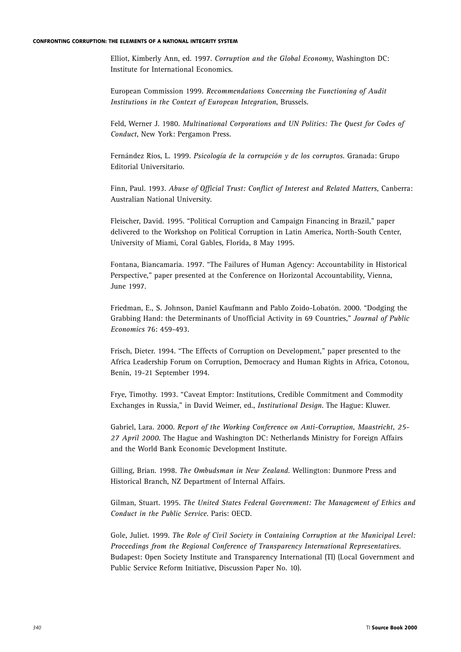Elliot, Kimberly Ann, ed. 1997. *Corruption and the Global Economy*, Washington DC: Institute for International Economics.

European Commission 1999. *Recommendations Concerning the Functioning of Audit Institutions in the Context of European Integration*, Brussels.

Feld, Werner J. 1980. *Multinational Corporations and UN Politics: The Quest for Codes of Conduct*, New York: Pergamon Press.

Fernández Ríos, L. 1999. *Psicología de la corrupción y de los corruptos*. Granada: Grupo Editorial Universitario.

Finn, Paul. 1993. *Abuse of Official Trust: Conflict of Interest and Related Matters*, Canberra: Australian National University.

Fleischer, David. 1995. "Political Corruption and Campaign Financing in Brazil," paper delivered to the Workshop on Political Corruption in Latin America, North-South Center, University of Miami, Coral Gables, Florida, 8 May 1995.

Fontana, Biancamaria. 1997. "The Failures of Human Agency: Accountability in Historical Perspective," paper presented at the Conference on Horizontal Accountability, Vienna, June 1997.

Friedman, E., S. Johnson, Daniel Kaufmann and Pablo Zoido-Lobatón. 2000. "Dodging the Grabbing Hand: the Determinants of Unofficial Activity in 69 Countries," *Journal of Public Economics* 76: 459-493.

Frisch, Dieter. 1994. "The Effects of Corruption on Development," paper presented to the Africa Leadership Forum on Corruption, Democracy and Human Rights in Africa, Cotonou, Benin, 19-21 September 1994.

Frye, Timothy. 1993. "Caveat Emptor: Institutions, Credible Commitment and Commodity Exchanges in Russia," in David Weimer, ed., *Institutional Design*. The Hague: Kluwer.

Gabriel, Lara. 2000. *Report of the Working Conference on Anti-Corruption, Maastricht, 25- 27 April 2000*. The Hague and Washington DC: Netherlands Ministry for Foreign Affairs and the World Bank Economic Development Institute.

Gilling, Brian. 1998. *The Ombudsman in New Zealand*. Wellington: Dunmore Press and Historical Branch, NZ Department of Internal Affairs.

Gilman, Stuart. 1995. *The United States Federal Government: The Management of Ethics and Conduct in the Public Service*. Paris: OECD.

Gole, Juliet. 1999. *The Role of Civil Society in Containing Corruption at the Municipal Level: Proceedings from the Regional Conference of Transparency International Representatives*. Budapest: Open Society Institute and Transparency International (TI) (Local Government and Public Service Reform Initiative, Discussion Paper No. 10).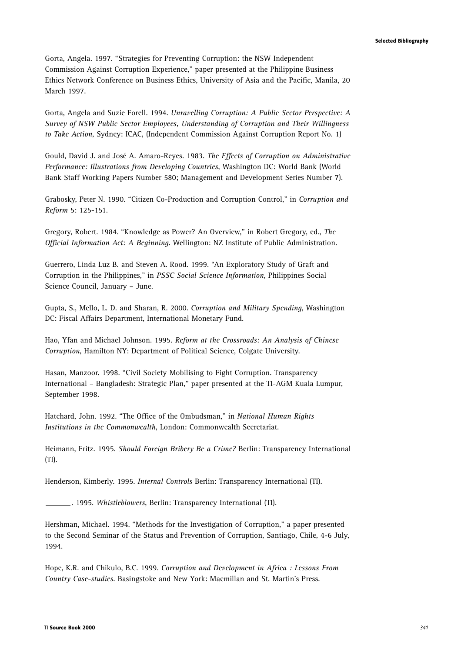Gorta, Angela. 1997. "Strategies for Preventing Corruption: the NSW Independent Commission Against Corruption Experience," paper presented at the Philippine Business Ethics Network Conference on Business Ethics, University of Asia and the Pacific, Manila, 20 March 1997.

Gorta, Angela and Suzie Forell. 1994. *Unravelling Corruption: A Public Sector Perspective: A Survey of NSW Public Sector Employees, Understanding of Corruption and Their Willingness to Take Action*, Sydney: ICAC, (Independent Commission Against Corruption Report No. 1)

Gould, David J. and José A. Amaro-Reyes. 1983. *The Effects of Corruption on Administrative Performance: Illustrations from Developing Countries*, Washington DC: World Bank (World Bank Staff Working Papers Number 580; Management and Development Series Number 7).

Grabosky, Peter N. 1990. "Citizen Co-Production and Corruption Control," in *Corruption and Reform* 5: 125-151.

Gregory, Robert. 1984. "Knowledge as Power? An Overview," in Robert Gregory, ed., *The Official Information Act: A Beginning*. Wellington: NZ Institute of Public Administration.

Guerrero, Linda Luz B. and Steven A. Rood. 1999. "An Exploratory Study of Graft and Corruption in the Philippines," in *PSSC Social Science Information*, Philippines Social Science Council, January – June.

Gupta, S., Mello, L. D. and Sharan, R. 2000. *Corruption and Military Spending*, Washington DC: Fiscal Affairs Department, International Monetary Fund.

Hao, Yfan and Michael Johnson. 1995. *Reform at the Crossroads: An Analysis of Chinese Corruption*, Hamilton NY: Department of Political Science, Colgate University.

Hasan, Manzoor. 1998. "Civil Society Mobilising to Fight Corruption. Transparency International – Bangladesh: Strategic Plan," paper presented at the TI-AGM Kuala Lumpur, September 1998.

Hatchard, John. 1992. "The Office of the Ombudsman," in *National Human Rights Institutions in the Commonwealth*, London: Commonwealth Secretariat.

Heimann, Fritz. 1995. *Should Foreign Bribery Be a Crime?* Berlin: Transparency International (TI).

Henderson, Kimberly. 1995. *Internal Controls* Berlin: Transparency International (TI).

. 1995. *Whistleblowers*, Berlin: Transparency International (TI).

Hershman, Michael. 1994. "Methods for the Investigation of Corruption," a paper presented to the Second Seminar of the Status and Prevention of Corruption, Santiago, Chile, 4-6 July, 1994.

Hope, K.R. and Chikulo, B.C. 1999. *Corruption and Development in Africa : Lessons From Country Case-studies*. Basingstoke and New York: Macmillan and St. Martin's Press.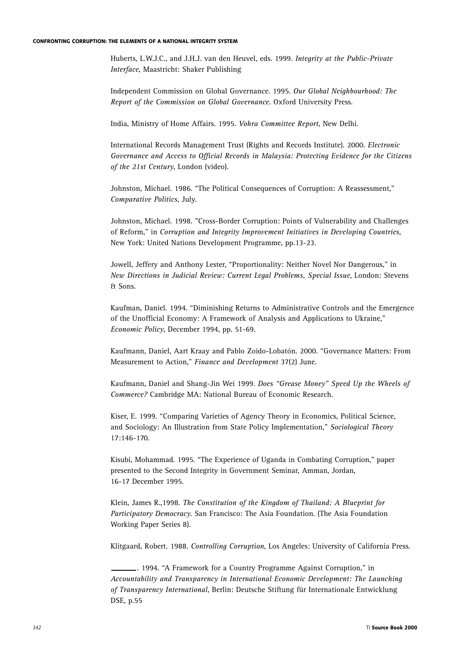Huberts, L.W.J.C., and J.H.J. van den Heuvel, eds. 1999. *Integrity at the Public-Private Interface*, Maastricht: Shaker Publishing

Independent Commission on Global Governance. 1995. *Our Global Neighbourhood: The Report of the Commission on Global Governance*. Oxford University Press.

India, Ministry of Home Affairs. 1995. *Vohra Committee Report*, New Delhi.

International Records Management Trust (Rights and Records Institute). 2000. *Electronic Governance and Access to Official Records in Malaysia: Protecting Evidence for the Citizens of the 21st Century*, London (video).

Johnston, Michael. 1986. "The Political Consequences of Corruption: A Reassessment," *Comparative Politics*, July.

Johnston, Michael. 1998. "Cross-Border Corruption: Points of Vulnerability and Challenges of Reform," in *Corruption and Integrity Improvement Initiatives in Developing Countries*, New York: United Nations Development Programme, pp.13-23.

Jowell, Jeffery and Anthony Lester, "Proportionality: Neither Novel Nor Dangerous," in *New Directions in Judicial Review: Current Legal Problems, Special Issue*, London: Stevens & Sons.

Kaufman, Daniel. 1994. "Diminishing Returns to Administrative Controls and the Emergence of the Unofficial Economy: A Framework of Analysis and Applications to Ukraine," *Economic Policy*, December 1994, pp. 51-69.

Kaufmann, Daniel, Aart Kraay and Pablo Zoido-Lobatón. 2000. "Governance Matters: From Measurement to Action," *Finance and Development* 37(2) June.

Kaufmann, Daniel and Shang-Jin Wei 1999. *Does "Grease Money" Speed Up the Wheels of Commerce?* Cambridge MA: National Bureau of Economic Research.

Kiser, E. 1999. "Comparing Varieties of Agency Theory in Economics, Political Science, and Sociology: An Illustration from State Policy Implementation," *Sociological Theory* 17:146-170.

Kisubi, Mohammad. 1995. "The Experience of Uganda in Combating Corruption," paper presented to the Second Integrity in Government Seminar, Amman, Jordan, 16-17 December 1995.

Klein, James R.,1998. *The Constitution of the Kingdom of Thailand: A Blueprint for Participatory Democracy*. San Francisco: The Asia Foundation. (The Asia Foundation Working Paper Series 8).

Klitgaard, Robert. 1988. *Controlling Corruption*, Los Angeles: University of California Press.

<sup>. 1994. &</sup>quot;A Framework for a Country Programme Against Corruption," in *Accountability and Transparency in International Economic Development: The Launching of Transparency International*, Berlin: Deutsche Stiftung für Internationale Entwicklung DSE, p.55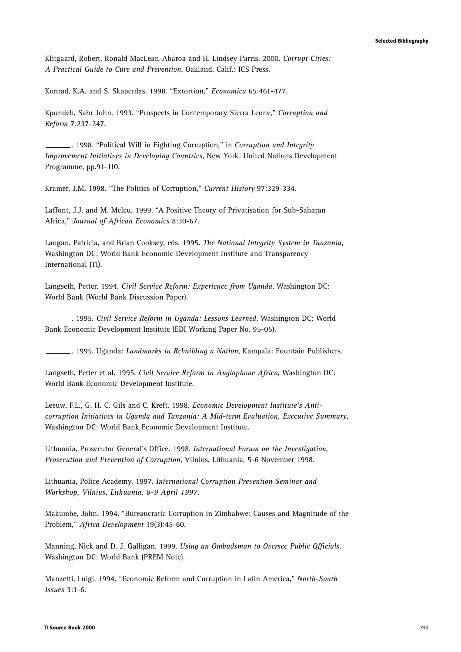Klitgaard, Robert, Ronald MacLean-Abaroa and H. Lindsey Parris. 2000. *Corrupt Cities: A Practical Guide to Cure and Prevention*, Oakland, Calif.: ICS Press.

Konrad, K.A. and S. Skaperdas. 1998. "Extortion," *Economica* 65:461-477.

Kpundeh, Sahr John. 1993. "Prospects in Contemporary Sierra Leone," *Corruption and Reform* 7:237-247.

. 1998. "Political Will in Fighting Corruption," in *Corruption and Integrity Improvement Initiatives in Developing Countries*, New York: United Nations Development Programme, pp.91-110.

Kramer, J.M. 1998. "The Politics of Corruption," *Current History* 97:329-334.

Laffont, J.J. and M. Meleu. 1999. "A Positive Theory of Privatisation for Sub-Saharan Africa," *Journal of African Economies* 8:30-67.

Langan, Patricia, and Brian Cooksey, eds. 1995. *The National Integrity System in Tanzania*, Washington DC: World Bank Economic Development Institute and Transparency International (TI).

Langseth, Petter. 1994. *Civil Service Reform: Experience from Uganda*, Washington DC: World Bank (World Bank Discussion Paper).

. 1995. *Civil Service Reform in Uganda: Lessons Learned*, Washington DC: World Bank Economic Development Institute (EDI Working Paper No. 95-05).

. 1995. Uganda: *Landmarks in Rebuilding a Nation*, Kampala: Fountain Publishers.

Langseth, Petter et al. 1995. *Civil Service Reform in Anglophone Africa*, Washington DC: World Bank Economic Development Institute.

Leeuw, F.L., G. H. C. Gils and C. Kreft. 1998. *Economic Development Institute's Anticorruption Initiatives in Uganda and Tanzania: A Mid-term Evaluation, Executive Summary*, Washington DC: World Bank Economic Development Institute.

Lithuania, Prosecutor General's Office. 1998. *International Forum on the Investigation, Prosecution and Prevention of Corruption*, Vilnius, Lithuania, 5-6 November 1998.

Lithuania, Police Academy. 1997. *International Corruption Prevention Seminar and Workshop, Vilnius, Lithuania, 8-9 April 1997*.

Makumbe, John. 1994. "Bureaucratic Corruption in Zimbabwe: Causes and Magnitude of the Problem," *Africa Development* 19(3):45-60.

Manning, Nick and D. J. Galligan. 1999. *Using an Ombudsman to Oversee Public Officials*, Washington DC: World Bank (PREM Note).

Manzetti, Luigi. 1994. "Economic Reform and Corruption in Latin America," *North-South Issues* 3:1-6.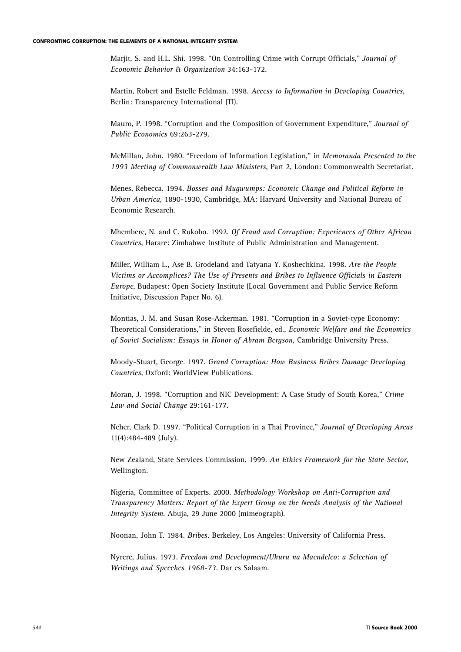Marjit, S. and H.L. Shi. 1998. "On Controlling Crime with Corrupt Officials," *Journal of Economic Behavior & Organization* 34:163-172.

Martin, Robert and Estelle Feldman. 1998. *Access to Information in Developing Countries*, Berlin: Transparency International (TI).

Mauro, P. 1998. "Corruption and the Composition of Government Expenditure," *Journal of Public Economics* 69:263-279.

McMillan, John. 1980. "Freedom of Information Legislation," in *Memoranda Presented to the 1993 Meeting of Commonwealth Law Ministers*, Part 2, London: Commonwealth Secretariat.

Menes, Rebecca. 1994. *Bosses and Mugwumps: Economic Change and Political Reform in Urban America*, 1890-1930, Cambridge, MA: Harvard University and National Bureau of Economic Research.

Mhembere, N. and C. Rukobo. 1992. *Of Fraud and Corruption: Experiences of Other African Countries*, Harare: Zimbabwe Institute of Public Administration and Management.

Miller, William L., Ase B. Grodeland and Tatyana Y. Koshechkina. 1998. *Are the People Victims or Accomplices? The Use of Presents and Bribes to Influence Officials in Eastern Europe*, Budapest: Open Society Institute (Local Government and Public Service Reform Initiative, Discussion Paper No. 6).

Montias, J. M. and Susan Rose-Ackerman. 1981. "Corruption in a Soviet-type Economy: Theoretical Considerations," in Steven Rosefielde, ed., *Economic Welfare and the Economics of Soviet Socialism: Essays in Honor of Abram Bergson*, Cambridge University Press.

Moody-Stuart, George. 1997. *Grand Corruption: How Business Bribes Damage Developing Countries*, Oxford: WorldView Publications.

Moran, J. 1998. "Corruption and NIC Development: A Case Study of South Korea," *Crime Law and Social Change* 29:161-177.

Neher, Clark D. 1997. "Political Corruption in a Thai Province," *Journal of Developing Areas* 11(4):484-489 (July).

New Zealand, State Services Commission. 1999. *An Ethics Framework for the State Sector*, Wellington.

Nigeria, Committee of Experts. 2000. *Methodology Workshop on Anti-Corruption and Transparency Matters: Report of the Expert Group on the Needs Analysis of the National Integrity System*. Abuja, 29 June 2000 (mimeograph).

Noonan, John T. 1984. *Bribes.* Berkeley, Los Angeles: University of California Press.

Nyrere, Julius. 1973. *Freedom and Development/Uhuru na Maendeleo: a Selection of Writings and Speeches 1968-73*. Dar es Salaam.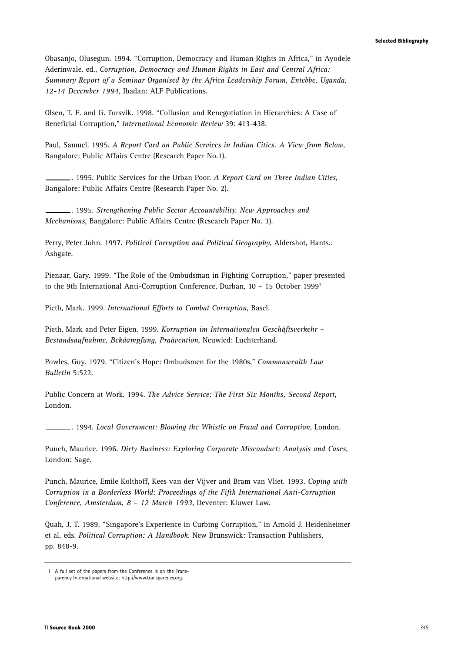Obasanjo, Olusegun. 1994. "Corruption, Democracy and Human Rights in Africa," in Ayodele Aderinwale. ed., *Corruption, Democracy and Human Rights in East and Central Africa: Summary Report of a Seminar Organised by the Africa Leadership Forum, Entebbe, Uganda, 12-14 December 1994*, Ibadan: ALF Publications.

Olsen, T. E. and G. Torsvik. 1998. "Collusion and Renegotiation in Hierarchies: A Case of Beneficial Corruption," *International Economic Review* 39: 413-438.

Paul, Samuel. 1995. *A Report Card on Public Services in Indian Cities. A View from Below*, Bangalore: Public Affairs Centre (Research Paper No.1).

. 1995. Public Services for the Urban Poor. *A Report Card on Three Indian Cities*, Bangalore: Public Affairs Centre (Research Paper No. 2).

. 1995. *Strengthening Public Sector Accountability. New Approaches and Mechanisms*, Bangalore: Public Affairs Centre (Research Paper No. 3).

Perry, Peter John. 1997. *Political Corruption and Political Geography*, Aldershot, Hants.: Ashgate.

Pienaar, Gary. 1999. "The Role of the Ombudsman in Fighting Corruption," paper presented to the 9th International Anti-Corruption Conference, Durban, 10 – 15 October 1999**<sup>1</sup>**

Pieth, Mark. 1999. *International Efforts to Combat Corruption*, Basel.

Pieth, Mark and Peter Eigen. 1999. *Korruption im Internationalen Geschäftsverkehr – Bestandsaufnahme, Bekäampfung, Praävention*, Neuwied: Luchterhand.

Powles, Guy. 1979. "Citizen's Hope: Ombudsmen for the 1980s," *Commonwealth Law Bulletin* 5:522.

Public Concern at Work. 1994. *The Advice Service: The First Six Months, Second Report*, London.

. 1994. *Local Government: Blowing the Whistle on Fraud and Corruption*, London.

Punch, Maurice. 1996. *Dirty Business: Exploring Corporate Misconduct: Analysis and Cases*, London: Sage.

Punch, Maurice, Emile Kolthoff, Kees van der Vijver and Bram van Vliet. 1993. *Coping with Corruption in a Borderless World: Proceedings of the Fifth International Anti-Corruption Conference, Amsterdam, 8 – 12 March 1993*, Deventer: Kluwer Law.

Quah, J. T. 1989. "Singapore's Experience in Curbing Corruption," in Arnold J. Heidenheimer et al, eds. *Political Corruption: A Handbook*. New Brunswick: Transaction Publishers, pp. 848-9.

<sup>1</sup> A full set of the papers from the Conference is on the Transparency International website: http://www.transparency.org.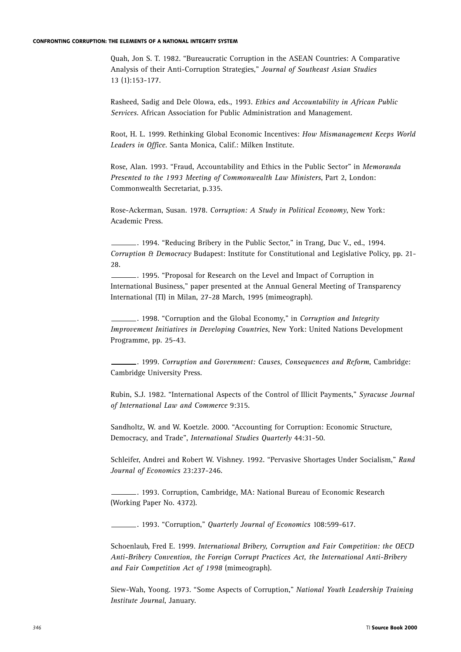Quah, Jon S. T. 1982. "Bureaucratic Corruption in the ASEAN Countries: A Comparative Analysis of their Anti-Corruption Strategies," *Journal of Southeast Asian Studies* 13 (1):153-177.

Rasheed, Sadig and Dele Olowa, eds., 1993. *Ethics and Accountability in African Public Services*. African Association for Public Administration and Management.

Root, H. L. 1999. Rethinking Global Economic Incentives: *How Mismanagement Keeps World Leaders in Office*. Santa Monica, Calif.: Milken Institute.

Rose, Alan. 1993. "Fraud, Accountability and Ethics in the Public Sector" in *Memoranda Presented to the 1993 Meeting of Commonwealth Law Ministers*, Part 2, London: Commonwealth Secretariat, p.335.

Rose-Ackerman, Susan. 1978. *Corruption: A Study in Political Economy*, New York: Academic Press.

. 1994. "Reducing Bribery in the Public Sector," in Trang, Duc V., ed., 1994. *Corruption & Democracy* Budapest: Institute for Constitutional and Legislative Policy, pp. 21- 28.

. 1995. "Proposal for Research on the Level and Impact of Corruption in International Business," paper presented at the Annual General Meeting of Transparency International (TI) in Milan, 27-28 March, 1995 (mimeograph).

. 1998. "Corruption and the Global Economy," in *Corruption and Integrity Improvement Initiatives in Developing Countries*, New York: United Nations Development Programme, pp. 25-43.

. 1999. *Corruption and Government: Causes, Consequences and Reform*, Cambridge: Cambridge University Press.

Rubin, S.J. 1982. "International Aspects of the Control of Illicit Payments," *Syracuse Journal of International Law and Commerce* 9:315.

Sandholtz, W. and W. Koetzle. 2000. "Accounting for Corruption: Economic Structure, Democracy, and Trade", *International Studies Quarterly* 44:31-50.

Schleifer, Andrei and Robert W. Vishney. 1992. "Pervasive Shortages Under Socialism," *Rand Journal of Economics* 23:237-246.

. 1993. Corruption, Cambridge, MA: National Bureau of Economic Research (Working Paper No. 4372).

. 1993. "Corruption," *Quarterly Journal of Economics* 108:599-617.

Schoenlaub, Fred E. 1999. *International Bribery, Corruption and Fair Competition: the OECD Anti-Bribery Convention, the Foreign Corrupt Practices Act, the International Anti-Bribery and Fair Competition Act of 1998* (mimeograph).

Siew-Wah, Yoong. 1973. "Some Aspects of Corruption," *National Youth Leadership Training Institute Journal*, January.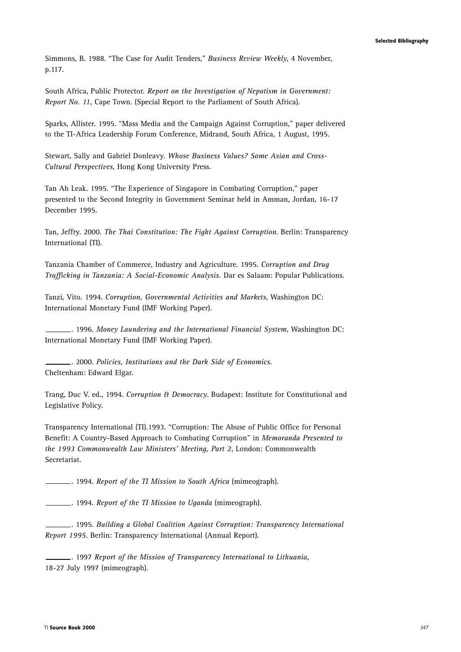Simmons, B. 1988. "The Case for Audit Tenders," *Business Review Weekly*, 4 November, p.117.

South Africa, Public Protector. *Report on the Investigation of Nepotism in Government: Report No. 11*, Cape Town. (Special Report to the Parliament of South Africa).

Sparks, Allister. 1995. "Mass Media and the Campaign Against Corruption," paper delivered to the TI-Africa Leadership Forum Conference, Midrand, South Africa, 1 August, 1995.

Stewart, Sally and Gabriel Donleavy. *Whose Business Values? Some Asian and Cross-Cultural Perspectives*, Hong Kong University Press.

Tan Ah Leak. 1995. "The Experience of Singapore in Combating Corruption," paper presented to the Second Integrity in Government Seminar held in Amman, Jordan, 16-17 December 1995.

Tan, Jeffry. 2000. *The Thai Constitution: The Fight Against Corruption*. Berlin: Transparency International (TI).

Tanzania Chamber of Commerce, Industry and Agriculture. 1995. *Corruption and Drug Trafficking in Tanzania: A Social-Economic Analysis.* Dar es Salaam: Popular Publications.

Tanzi, Vito. 1994. *Corruption, Governmental Activities and Markets*, Washington DC: International Monetary Fund (IMF Working Paper).

. 1996. *Money Laundering and the International Financial System*, Washington DC: International Monetary Fund (IMF Working Paper).

. 2000. *Policies, Institutions and the Dark Side of Economics*. Cheltenham: Edward Elgar.

Trang, Duc V. ed., 1994. *Corruption & Democracy*. Budapest: Institute for Constitutional and Legislative Policy.

Transparency International (TI).1993. "Corruption: The Abuse of Public Office for Personal Benefit: A Country-Based Approach to Combating Corruption" in *Memoranda Presented to the 1993 Commonwealth Law Ministers' Meeting, Part 2*, London: Commonwealth Secretariat.

. 1994. *Report of the TI Mission to South Africa* (mimeograph).

. 1994. *Report of the TI Mission to Uganda* (mimeograph).

. 1995. *Building a Global Coalition Against Corruption: Transparency International Report 1995*. Berlin: Transparency International (Annual Report).

. 1997 *Report of the Mission of Transparency International to Lithuania*, 18-27 July 1997 (mimeograph).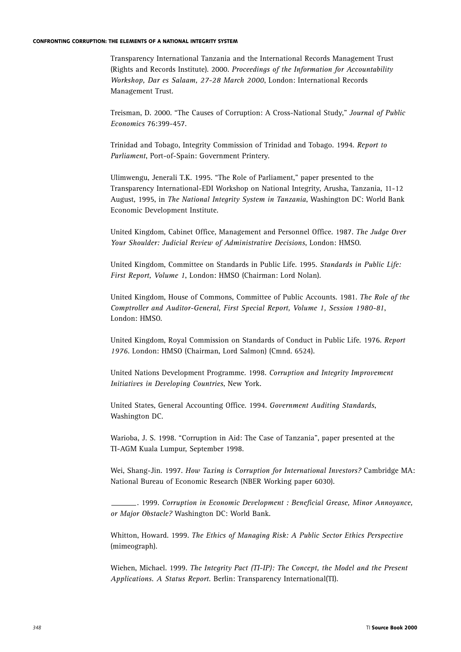Transparency International Tanzania and the International Records Management Trust (Rights and Records Institute). 2000. *Proceedings of the Information for Accountability Workshop, Dar es Salaam, 27-28 March 2000*, London: International Records Management Trust.

Treisman, D. 2000. "The Causes of Corruption: A Cross-National Study," *Journal of Public Economics* 76:399-457.

Trinidad and Tobago, Integrity Commission of Trinidad and Tobago. 1994. *Report to Parliament*, Port-of-Spain: Government Printery.

Ulimwengu, Jenerali T.K. 1995. "The Role of Parliament," paper presented to the Transparency International-EDI Workshop on National Integrity, Arusha, Tanzania, 11-12 August, 1995, in *The National Integrity System in Tanzania*, Washington DC: World Bank Economic Development Institute.

United Kingdom, Cabinet Office, Management and Personnel Office. 1987. *The Judge Over Your Shoulder: Judicial Review of Administrative Decisions*, London: HMSO.

United Kingdom, Committee on Standards in Public Life. 1995. *Standards in Public Life: First Report, Volume 1*, London: HMSO (Chairman: Lord Nolan).

United Kingdom, House of Commons, Committee of Public Accounts. 1981. *The Role of the Comptroller and Auditor-General, First Special Report, Volume 1, Session 1980-81*, London: HMSO.

United Kingdom, Royal Commission on Standards of Conduct in Public Life. 1976. *Report 1976*. London: HMSO (Chairman, Lord Salmon) (Cmnd. 6524).

United Nations Development Programme. 1998. *Corruption and Integrity Improvement Initiatives in Developing Countries*, New York.

United States, General Accounting Office. 1994. *Government Auditing Standards*, Washington DC.

Warioba, J. S. 1998. "Corruption in Aid: The Case of Tanzania", paper presented at the TI-AGM Kuala Lumpur, September 1998.

Wei, Shang-Jin. 1997. *How Taxing is Corruption for International Investors?* Cambridge MA: National Bureau of Economic Research (NBER Working paper 6030).

. 1999. *Corruption in Economic Development : Beneficial Grease, Minor Annoyance, or Major Obstacle?* Washington DC: World Bank.

Whitton, Howard. 1999. *The Ethics of Managing Risk: A Public Sector Ethics Perspective* (mimeograph).

Wiehen, Michael. 1999. *The Integrity Pact (TI-IP): The Concept, the Model and the Present Applications. A Status Report.* Berlin: Transparency International(TI).